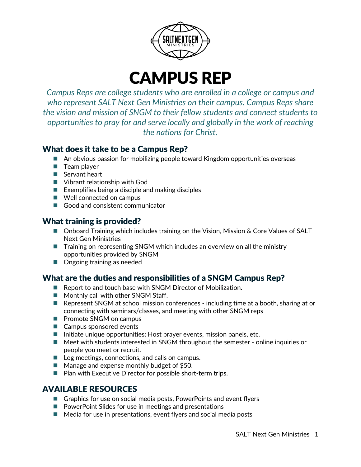

# CAMPUS REP

*Campus Reps are college students who are enrolled in a college or campus and who represent SALT Next Gen Ministries on their campus. Campus Reps share the vision and mission of SNGM to their fellow students and connect students to opportunities to pray for and serve locally and globally in the work of reaching the nations for Christ.*

#### What does it take to be a Campus Rep?

- An obvious passion for mobilizing people toward Kingdom opportunities overseas
- $\blacksquare$  Team player
- Servant heart
- Vibrant relationship with God
- $\blacksquare$  Exemplifies being a disciple and making disciples
- Well connected on campus
- Good and consistent communicator

### What training is provided?

- Onboard Training which includes training on the Vision, Mission & Core Values of SALT Next Gen Ministries
- Training on representing SNGM which includes an overview on all the ministry opportunities provided by SNGM
- Ongoing training as needed

# What are the duties and responsibilities of a SNGM Campus Rep?

- Report to and touch base with SNGM Director of Mobilization.
- **Monthly call with other SNGM Staff.**
- Represent SNGM at school mission conferences including time at a booth, sharing at or connecting with seminars/classes, and meeting with other SNGM reps
- **Promote SNGM on campus**
- Campus sponsored events
- $\blacksquare$  Initiate unique opportunities: Host prayer events, mission panels, etc.
- Meet with students interested in SNGM throughout the semester online inquiries or people you meet or recruit.
- Log meetings, connections, and calls on campus.
- Manage and expense monthly budget of \$50.
- $\blacksquare$  Plan with Executive Director for possible short-term trips.

## AVAILABLE RESOURCES

- Graphics for use on social media posts, PowerPoints and event flyers
- **P** PowerPoint Slides for use in meetings and presentations
- $\blacksquare$  Media for use in presentations, event flyers and social media posts